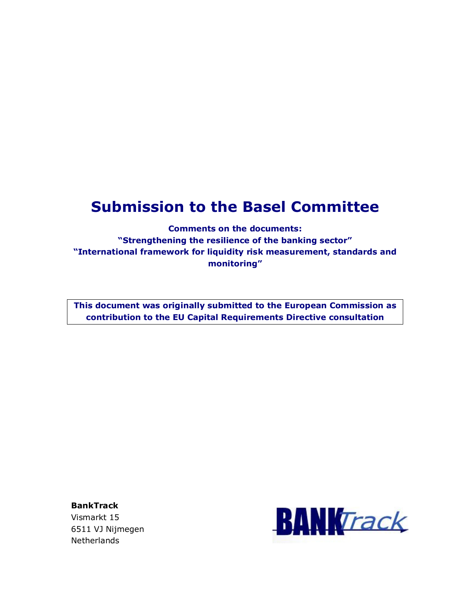# **Submission to the Basel Committee**

**Comments on the documents: "Strengthening the resilience of the banking sector" "International framework for liquidity risk measurement, standards and monitoring"** 

**This document was originally submitted to the European Commission as contribution to the EU Capital Requirements Directive consultation** 

**BankTrack**  Vismarkt 15 6511 VJ Nijmegen **Netherlands** 

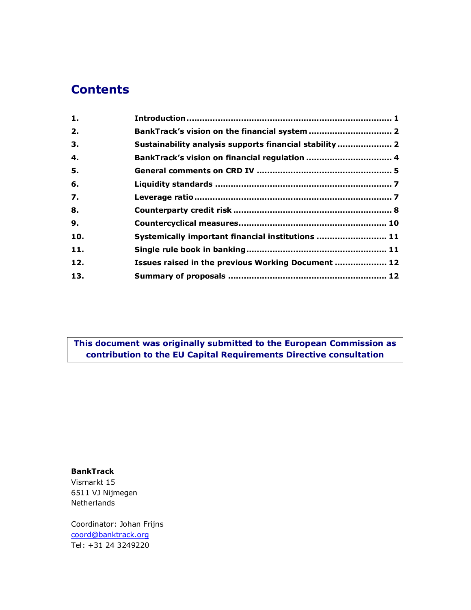# **Contents**

| 1.  |                                                        |  |
|-----|--------------------------------------------------------|--|
| 2.  |                                                        |  |
| З.  | Sustainability analysis supports financial stability 2 |  |
| 4.  | BankTrack's vision on financial regulation  4          |  |
| 5.  |                                                        |  |
| 6.  |                                                        |  |
| 7.  |                                                        |  |
| 8.  |                                                        |  |
| 9.  |                                                        |  |
| 10. | Systemically important financial institutions  11      |  |
| 11. |                                                        |  |
| 12. | Issues raised in the previous Working Document  12     |  |
| 13. |                                                        |  |
|     |                                                        |  |

**This document was originally submitted to the European Commission as contribution to the EU Capital Requirements Directive consultation** 

#### **BankTrack**

Vismarkt 15 6511 VJ Nijmegen Netherlands

Coordinator: Johan Frijns coord@banktrack.org Tel: +31 24 3249220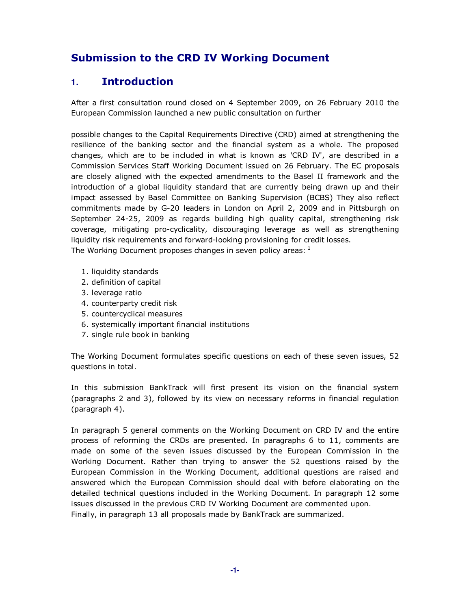# **Submission to the CRD IV Working Document**

# **1. Introduction**

After a first consultation round closed on 4 September 2009, on 26 February 2010 the European Commission launched a new public consultation on further

possible changes to the Capital Requirements Directive (CRD) aimed at strengthening the resilience of the banking sector and the financial system as a whole. The proposed changes, which are to be included in what is known as 'CRD IV', are described in a Commission Services Staff Working Document issued on 26 February. The EC proposals are closely aligned with the expected amendments to the Basel II framework and the introduction of a global liquidity standard that are currently being drawn up and their impact assessed by Basel Committee on Banking Supervision (BCBS) They also reflect commitments made by G-20 leaders in London on April 2, 2009 and in Pittsburgh on September 24-25, 2009 as regards building high quality capital, strengthening risk coverage, mitigating pro-cyclicality, discouraging leverage as well as strengthening liquidity risk requirements and forward-looking provisioning for credit losses. The Working Document proposes changes in seven policy areas:  $1$ 

- 1. liquidity standards
- 2. definition of capital
- 3. leverage ratio
- 4. counterparty credit risk
- 5. countercyclical measures
- 6. systemically important financial institutions
- 7. single rule book in banking

The Working Document formulates specific questions on each of these seven issues, 52 questions in total.

In this submission BankTrack will first present its vision on the financial system (paragraphs 2 and 3), followed by its view on necessary reforms in financial regulation (paragraph 4).

In paragraph 5 general comments on the Working Document on CRD IV and the entire process of reforming the CRDs are presented. In paragraphs 6 to 11, comments are made on some of the seven issues discussed by the European Commission in the Working Document. Rather than trying to answer the 52 questions raised by the European Commission in the Working Document, additional questions are raised and answered which the European Commission should deal with before elaborating on the detailed technical questions included in the Working Document. In paragraph 12 some issues discussed in the previous CRD IV Working Document are commented upon. Finally, in paragraph 13 all proposals made by BankTrack are summarized.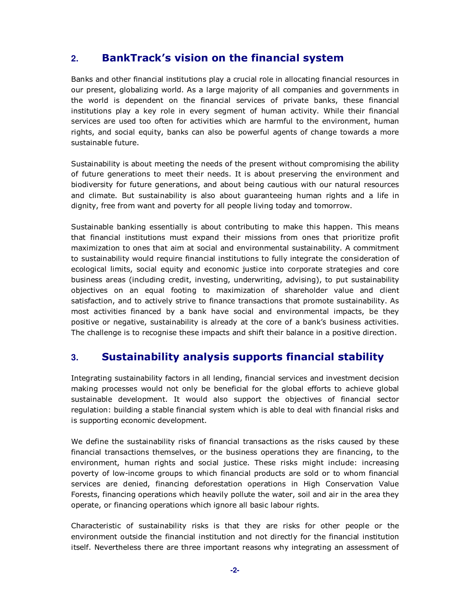# **2. BankTrack's vision on the financial system**

Banks and other financial institutions play a crucial role in allocating financial resources in our present, globalizing world. As a large majority of all companies and governments in the world is dependent on the financial services of private banks, these financial institutions play a key role in every segment of human activity. While their financial services are used too often for activities which are harmful to the environment, human rights, and social equity, banks can also be powerful agents of change towards a more sustainable future.

Sustainability is about meeting the needs of the present without compromising the ability of future generations to meet their needs. It is about preserving the environment and biodiversity for future generations, and about being cautious with our natural resources and climate. But sustainability is also about guaranteeing human rights and a life in dignity, free from want and poverty for all people living today and tomorrow.

Sustainable banking essentially is about contributing to make this happen. This means that financial institutions must expand their missions from ones that prioritize profit maximization to ones that aim at social and environmental sustainability. A commitment to sustainability would require financial institutions to fully integrate the consideration of ecological limits, social equity and economic justice into corporate strategies and core business areas (including credit, investing, underwriting, advising), to put sustainability objectives on an equal footing to maximization of shareholder value and client satisfaction, and to actively strive to finance transactions that promote sustainability. As most activities financed by a bank have social and environmental impacts, be they positive or negative, sustainability is already at the core of a bank's business activities. The challenge is to recognise these impacts and shift their balance in a positive direction.

## **3. Sustainability analysis supports financial stability**

Integrating sustainability factors in all lending, financial services and investment decision making processes would not only be beneficial for the global efforts to achieve global sustainable development. It would also support the objectives of financial sector regulation: building a stable financial system which is able to deal with financial risks and is supporting economic development.

We define the sustainability risks of financial transactions as the risks caused by these financial transactions themselves, or the business operations they are financing, to the environment, human rights and social justice. These risks might include: increasing poverty of low-income groups to which financial products are sold or to whom financial services are denied, financing deforestation operations in High Conservation Value Forests, financing operations which heavily pollute the water, soil and air in the area they operate, or financing operations which ignore all basic labour rights.

Characteristic of sustainability risks is that they are risks for other people or the environment outside the financial institution and not directly for the financial institution itself. Nevertheless there are three important reasons why integrating an assessment of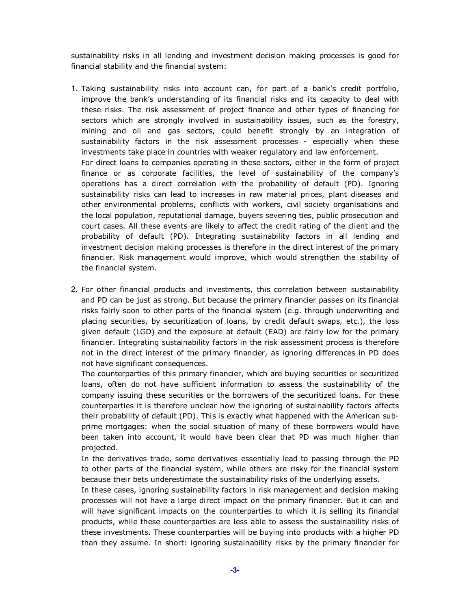sustainability risks in all lending and investment decision making processes is good for financial stability and the financial system:

- 1. Taking sustainability risks into account can, for part of a bank's credit portfolio, improve the bank's understanding of its financial risks and its capacity to deal with these risks. The risk assessment of project finance and other types of financing for sectors which are strongly involved in sustainability issues, such as the forestry, mining and oil and gas sectors, could benefit strongly by an integration of sustainability factors in the risk assessment processes - especially when these investments take place in countries with weaker regulatory and law enforcement. For direct loans to companies operating in these sectors, either in the form of project finance or as corporate facilities, the level of sustainability of the company's operations has a direct correlation with the probability of default (PD). Ignoring sustainability risks can lead to increases in raw material prices, plant diseases and other environmental problems, conflicts with workers, civil society organisations and the local population, reputational damage, buyers severing ties, public prosecution and court cases. All these events are likely to affect the credit rating of the client and the probability of default (PD). Integrating sustainability factors in all lending and investment decision making processes is therefore in the direct interest of the primary financier. Risk management would improve, which would strengthen the stability of the financial system.
- 2. For other financial products and investments, this correlation between sustainability and PD can be just as strong. But because the primary financier passes on its financial risks fairly soon to other parts of the financial system (e.g. through underwriting and placing securities, by securitization of loans, by credit default swaps, etc.), the loss given default (LGD) and the exposure at default (EAD) are fairly low for the primary financier. Integrating sustainability factors in the risk assessment process is therefore not in the direct interest of the primary financier, as ignoring differences in PD does not have significant consequences.

The counterparties of this primary financier, which are buying securities or securitized loans, often do not have sufficient information to assess the sustainability of the company issuing these securities or the borrowers of the securitized loans. For these counterparties it is therefore unclear how the ignoring of sustainability factors affects their probability of default (PD). This is exactly what happened with the American subprime mortgages: when the social situation of many of these borrowers would have been taken into account, it would have been clear that PD was much higher than projected.

In the derivatives trade, some derivatives essentially lead to passing through the PD to other parts of the financial system, while others are risky for the financial system because their bets underestimate the sustainability risks of the underlying assets.

In these cases, ignoring sustainability factors in risk management and decision making processes will not have a large direct impact on the primary financier. But it can and will have significant impacts on the counterparties to which it is selling its financial products, while these counterparties are less able to assess the sustainability risks of these investments. These counterparties will be buying into products with a higher PD than they assume. In short: ignoring sustainability risks by the primary financier for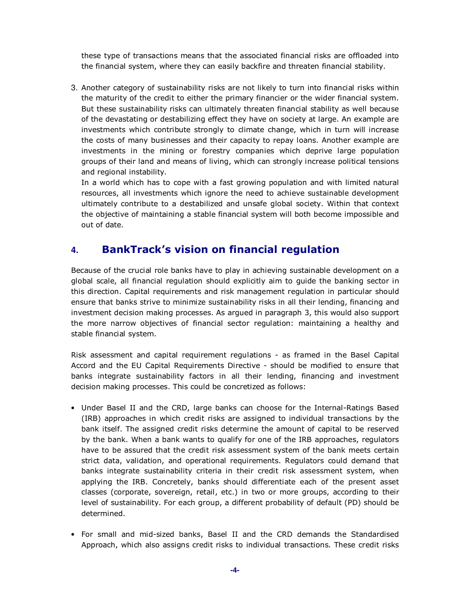these type of transactions means that the associated financial risks are offloaded into the financial system, where they can easily backfire and threaten financial stability.

3. Another category of sustainability risks are not likely to turn into financial risks within the maturity of the credit to either the primary financier or the wider financial system. But these sustainability risks can ultimately threaten financial stability as well because of the devastating or destabilizing effect they have on society at large. An example are investments which contribute strongly to climate change, which in turn will increase the costs of many businesses and their capacity to repay loans. Another example are investments in the mining or forestry companies which deprive large population groups of their land and means of living, which can strongly increase political tensions and regional instability.

In a world which has to cope with a fast growing population and with limited natural resources, all investments which ignore the need to achieve sustainable development ultimately contribute to a destabilized and unsafe global society. Within that context the objective of maintaining a stable financial system will both become impossible and out of date.

# **4. BankTrack's vision on financial regulation**

Because of the crucial role banks have to play in achieving sustainable development on a global scale, all financial regulation should explicitly aim to guide the banking sector in this direction. Capital requirements and risk management regulation in particular should ensure that banks strive to minimize sustainability risks in all their lending, financing and investment decision making processes. As argued in paragraph 3, this would also support the more narrow objectives of financial sector regulation: maintaining a healthy and stable financial system.

Risk assessment and capital requirement regulations - as framed in the Basel Capital Accord and the EU Capital Requirements Directive - should be modified to ensure that banks integrate sustainability factors in all their lending, financing and investment decision making processes. This could be concretized as follows:

- Under Basel II and the CRD, large banks can choose for the Internal-Ratings Based (IRB) approaches in which credit risks are assigned to individual transactions by the bank itself. The assigned credit risks determine the amount of capital to be reserved by the bank. When a bank wants to qualify for one of the IRB approaches, regulators have to be assured that the credit risk assessment system of the bank meets certain strict data, validation, and operational requirements. Regulators could demand that banks integrate sustainability criteria in their credit risk assessment system, when applying the IRB. Concretely, banks should differentiate each of the present asset classes (corporate, sovereign, retail, etc.) in two or more groups, according to their level of sustainability. For each group, a different probability of default (PD) should be determined.
- For small and mid-sized banks, Basel II and the CRD demands the Standardised Approach, which also assigns credit risks to individual transactions. These credit risks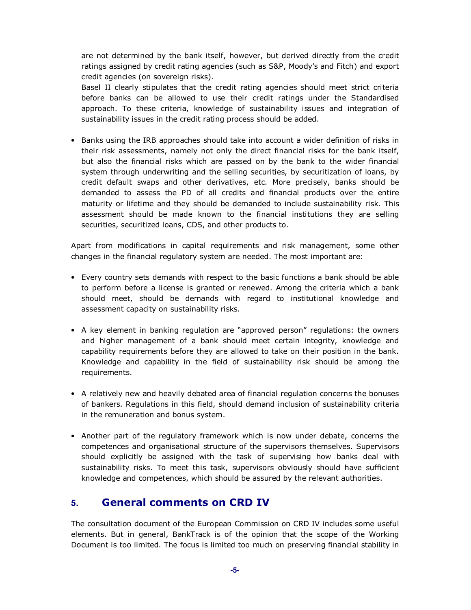are not determined by the bank itself, however, but derived directly from the credit ratings assigned by credit rating agencies (such as S&P, Moody's and Fitch) and export credit agencies (on sovereign risks).

Basel II clearly stipulates that the credit rating agencies should meet strict criteria before banks can be allowed to use their credit ratings under the Standardised approach. To these criteria, knowledge of sustainability issues and integration of sustainability issues in the credit rating process should be added.

• Banks using the IRB approaches should take into account a wider definition of risks in their risk assessments, namely not only the direct financial risks for the bank itself, but also the financial risks which are passed on by the bank to the wider financial system through underwriting and the selling securities, by securitization of loans, by credit default swaps and other derivatives, etc. More precisely, banks should be demanded to assess the PD of all credits and financial products over the entire maturity or lifetime and they should be demanded to include sustainability risk. This assessment should be made known to the financial institutions they are selling securities, securitized loans, CDS, and other products to.

Apart from modifications in capital requirements and risk management, some other changes in the financial regulatory system are needed. The most important are:

- Every country sets demands with respect to the basic functions a bank should be able to perform before a license is granted or renewed. Among the criteria which a bank should meet, should be demands with regard to institutional knowledge and assessment capacity on sustainability risks.
- A key element in banking regulation are "approved person" regulations: the owners and higher management of a bank should meet certain integrity, knowledge and capability requirements before they are allowed to take on their position in the bank. Knowledge and capability in the field of sustainability risk should be among the requirements.
- A relatively new and heavily debated area of financial regulation concerns the bonuses of bankers. Regulations in this field, should demand inclusion of sustainability criteria in the remuneration and bonus system.
- Another part of the regulatory framework which is now under debate, concerns the competences and organisational structure of the supervisors themselves. Supervisors should explicitly be assigned with the task of supervising how banks deal with sustainability risks. To meet this task, supervisors obviously should have sufficient knowledge and competences, which should be assured by the relevant authorities.

## **5. General comments on CRD IV**

The consultation document of the European Commission on CRD IV includes some useful elements. But in general, BankTrack is of the opinion that the scope of the Working Document is too limited. The focus is limited too much on preserving financial stability in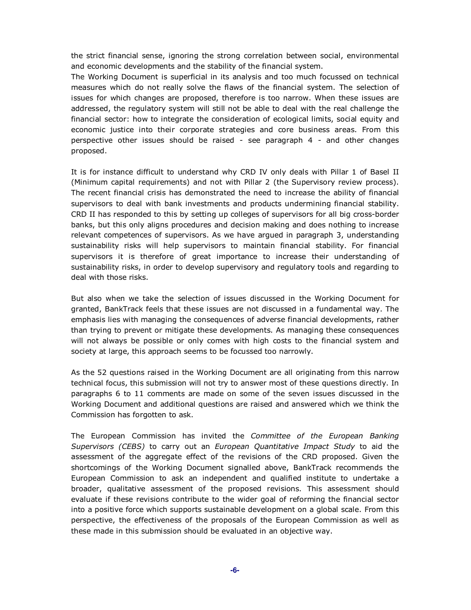the strict financial sense, ignoring the strong correlation between social, environmental and economic developments and the stability of the financial system.

The Working Document is superficial in its analysis and too much focussed on technical measures which do not really solve the flaws of the financial system. The selection of issues for which changes are proposed, therefore is too narrow. When these issues are addressed, the regulatory system will still not be able to deal with the real challenge the financial sector: how to integrate the consideration of ecological limits, social equity and economic justice into their corporate strategies and core business areas. From this perspective other issues should be raised - see paragraph 4 - and other changes proposed.

It is for instance difficult to understand why CRD IV only deals with Pillar 1 of Basel II (Minimum capital requirements) and not with Pillar 2 (the Supervisory review process). The recent financial crisis has demonstrated the need to increase the ability of financial supervisors to deal with bank investments and products undermining financial stability. CRD II has responded to this by setting up colleges of supervisors for all big cross-border banks, but this only aligns procedures and decision making and does nothing to increase relevant competences of supervisors. As we have argued in paragraph 3, understanding sustainability risks will help supervisors to maintain financial stability. For financial supervisors it is therefore of great importance to increase their understanding of sustainability risks, in order to develop supervisory and regulatory tools and regarding to deal with those risks.

But also when we take the selection of issues discussed in the Working Document for granted, BankTrack feels that these issues are not discussed in a fundamental way. The emphasis lies with managing the consequences of adverse financial developments, rather than trying to prevent or mitigate these developments. As managing these consequences will not always be possible or only comes with high costs to the financial system and society at large, this approach seems to be focussed too narrowly.

As the 52 questions raised in the Working Document are all originating from this narrow technical focus, this submission will not try to answer most of these questions directly. In paragraphs 6 to 11 comments are made on some of the seven issues discussed in the Working Document and additional questions are raised and answered which we think the Commission has forgotten to ask.

The European Commission has invited the *Committee of the European Banking Supervisors (CEBS)* to carry out an *European Quantitative Impact Study* to aid the assessment of the aggregate effect of the revisions of the CRD proposed. Given the shortcomings of the Working Document signalled above, BankTrack recommends the European Commission to ask an independent and qualified institute to undertake a broader, qualitative assessment of the proposed revisions. This assessment should evaluate if these revisions contribute to the wider goal of reforming the financial sector into a positive force which supports sustainable development on a global scale. From this perspective, the effectiveness of the proposals of the European Commission as well as these made in this submission should be evaluated in an objective way.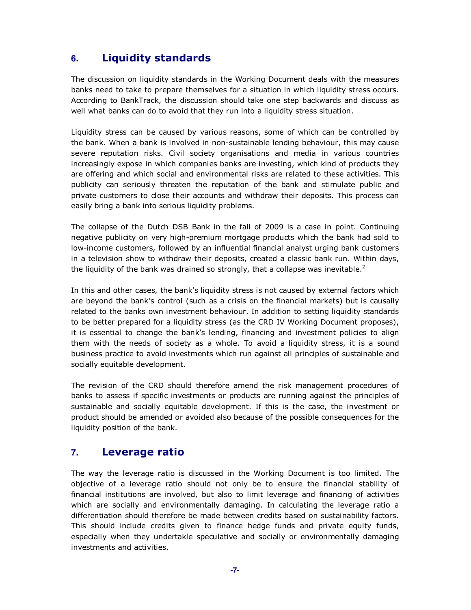# **6. Liquidity standards**

The discussion on liquidity standards in the Working Document deals with the measures banks need to take to prepare themselves for a situation in which liquidity stress occurs. According to BankTrack, the discussion should take one step backwards and discuss as well what banks can do to avoid that they run into a liquidity stress situation.

Liquidity stress can be caused by various reasons, some of which can be controlled by the bank. When a bank is involved in non-sustainable lending behaviour, this may cause severe reputation risks. Civil society organisations and media in various countries increasingly expose in which companies banks are investing, which kind of products they are offering and which social and environmental risks are related to these activities. This publicity can seriously threaten the reputation of the bank and stimulate public and private customers to close their accounts and withdraw their deposits. This process can easily bring a bank into serious liquidity problems.

The collapse of the Dutch DSB Bank in the fall of 2009 is a case in point. Continuing negative publicity on very high-premium mortgage products which the bank had sold to low-income customers, followed by an influential financial analyst urging bank customers in a television show to withdraw their deposits, created a classic bank run. Within days, the liquidity of the bank was drained so strongly, that a collapse was inevitable.<sup>2</sup>

In this and other cases, the bank's liquidity stress is not caused by external factors which are beyond the bank's control (such as a crisis on the financial markets) but is causally related to the banks own investment behaviour. In addition to setting liquidity standards to be better prepared for a liquidity stress (as the CRD IV Working Document proposes), it is essential to change the bank's lending, financing and investment policies to align them with the needs of society as a whole. To avoid a liquidity stress, it is a sound business practice to avoid investments which run against all principles of sustainable and socially equitable development.

The revision of the CRD should therefore amend the risk management procedures of banks to assess if specific investments or products are running against the principles of sustainable and socially equitable development. If this is the case, the investment or product should be amended or avoided also because of the possible consequences for the liquidity position of the bank.

## **7. Leverage ratio**

The way the leverage ratio is discussed in the Working Document is too limited. The objective of a leverage ratio should not only be to ensure the financial stability of financial institutions are involved, but also to limit leverage and financing of activities which are socially and environmentally damaging. In calculating the leverage ratio a differentiation should therefore be made between credits based on sustainability factors. This should include credits given to finance hedge funds and private equity funds, especially when they undertakle speculative and socially or environmentally damaging investments and activities.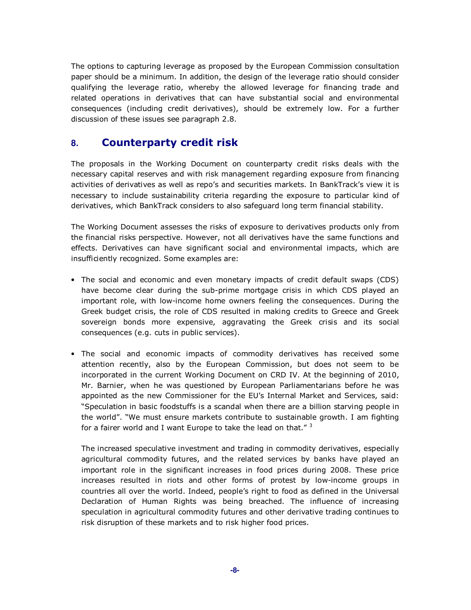The options to capturing leverage as proposed by the European Commission consultation paper should be a minimum. In addition, the design of the leverage ratio should consider qualifying the leverage ratio, whereby the allowed leverage for financing trade and related operations in derivatives that can have substantial social and environmental consequences (including credit derivatives), should be extremely low. For a further discussion of these issues see paragraph 2.8.

#### **8. Counterparty credit risk**

The proposals in the Working Document on counterparty credit risks deals with the necessary capital reserves and with risk management regarding exposure from financing activities of derivatives as well as repo's and securities markets. In BankTrack's view it is necessary to include sustainability criteria regarding the exposure to particular kind of derivatives, which BankTrack considers to also safeguard long term financial stability.

The Working Document assesses the risks of exposure to derivatives products only from the financial risks perspective. However, not all derivatives have the same functions and effects. Derivatives can have significant social and environmental impacts, which are insufficiently recognized. Some examples are:

- The social and economic and even monetary impacts of credit default swaps (CDS) have become clear during the sub-prime mortgage crisis in which CDS played an important role, with low-income home owners feeling the consequences. During the Greek budget crisis, the role of CDS resulted in making credits to Greece and Greek sovereign bonds more expensive, aggravating the Greek crisis and its social consequences (e.g. cuts in public services).
- The social and economic impacts of commodity derivatives has received some attention recently, also by the European Commission, but does not seem to be incorporated in the current Working Document on CRD IV. At the beginning of 2010, Mr. Barnier, when he was questioned by European Parliamentarians before he was appointed as the new Commissioner for the EU's Internal Market and Services, said: "Speculation in basic foodstuffs is a scandal when there are a billion starving people in the world". "We must ensure markets contribute to sustainable growth. I am fighting for a fairer world and I want Europe to take the lead on that." $3$

The increased speculative investment and trading in commodity derivatives, especially agricultural commodity futures, and the related services by banks have played an important role in the significant increases in food prices during 2008. These price increases resulted in riots and other forms of protest by low-income groups in countries all over the world. Indeed, people's right to food as defined in the Universal Declaration of Human Rights was being breached. The influence of increasing speculation in agricultural commodity futures and other derivative trading continues to risk disruption of these markets and to risk higher food prices.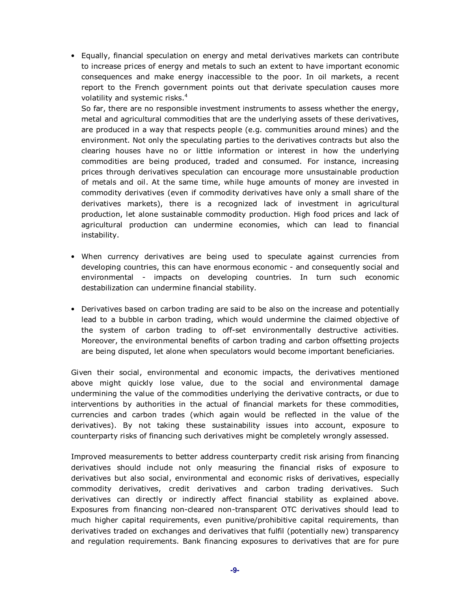• Equally, financial speculation on energy and metal derivatives markets can contribute to increase prices of energy and metals to such an extent to have important economic consequences and make energy inaccessible to the poor. In oil markets, a recent report to the French government points out that derivate speculation causes more volatility and systemic risks.<sup>4</sup>

So far, there are no responsible investment instruments to assess whether the energy, metal and agricultural commodities that are the underlying assets of these derivatives, are produced in a way that respects people (e.g. communities around mines) and the environment. Not only the speculating parties to the derivatives contracts but also the clearing houses have no or little information or interest in how the underlying commodities are being produced, traded and consumed. For instance, increasing prices through derivatives speculation can encourage more unsustainable production of metals and oil. At the same time, while huge amounts of money are invested in commodity derivatives (even if commodity derivatives have only a small share of the derivatives markets), there is a recognized lack of investment in agricultural production, let alone sustainable commodity production. High food prices and lack of agricultural production can undermine economies, which can lead to financial instability.

- When currency derivatives are being used to speculate against currencies from developing countries, this can have enormous economic - and consequently social and environmental - impacts on developing countries. In turn such economic destabilization can undermine financial stability.
- Derivatives based on carbon trading are said to be also on the increase and potentially lead to a bubble in carbon trading, which would undermine the claimed objective of the system of carbon trading to off-set environmentally destructive activities. Moreover, the environmental benefits of carbon trading and carbon offsetting projects are being disputed, let alone when speculators would become important beneficiaries.

Given their social, environmental and economic impacts, the derivatives mentioned above might quickly lose value, due to the social and environmental damage undermining the value of the commodities underlying the derivative contracts, or due to interventions by authorities in the actual of financial markets for these commodities, currencies and carbon trades (which again would be reflected in the value of the derivatives). By not taking these sustainability issues into account, exposure to counterparty risks of financing such derivatives might be completely wrongly assessed.

Improved measurements to better address counterparty credit risk arising from financing derivatives should include not only measuring the financial risks of exposure to derivatives but also social, environmental and economic risks of derivatives, especially commodity derivatives, credit derivatives and carbon trading derivatives. Such derivatives can directly or indirectly affect financial stability as explained above. Exposures from financing non-cleared non-transparent OTC derivatives should lead to much higher capital requirements, even punitive/prohibitive capital requirements, than derivatives traded on exchanges and derivatives that fulfil (potentially new) transparency and regulation requirements. Bank financing exposures to derivatives that are for pure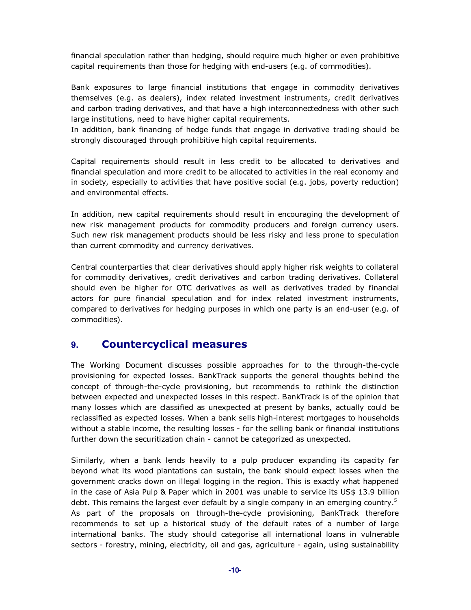financial speculation rather than hedging, should require much higher or even prohibitive capital requirements than those for hedging with end-users (e.g. of commodities).

Bank exposures to large financial institutions that engage in commodity derivatives themselves (e.g. as dealers), index related investment instruments, credit derivatives and carbon trading derivatives, and that have a high interconnectedness with other such large institutions, need to have higher capital requirements.

In addition, bank financing of hedge funds that engage in derivative trading should be strongly discouraged through prohibitive high capital requirements.

Capital requirements should result in less credit to be allocated to derivatives and financial speculation and more credit to be allocated to activities in the real economy and in society, especially to activities that have positive social (e.g. jobs, poverty reduction) and environmental effects.

In addition, new capital requirements should result in encouraging the development of new risk management products for commodity producers and foreign currency users. Such new risk management products should be less risky and less prone to speculation than current commodity and currency derivatives.

Central counterparties that clear derivatives should apply higher risk weights to collateral for commodity derivatives, credit derivatives and carbon trading derivatives. Collateral should even be higher for OTC derivatives as well as derivatives traded by financial actors for pure financial speculation and for index related investment instruments, compared to derivatives for hedging purposes in which one party is an end-user (e.g. of commodities).

#### **9. Countercyclical measures**

The Working Document discusses possible approaches for to the through-the-cycle provisioning for expected losses. BankTrack supports the general thoughts behind the concept of through-the-cycle provisioning, but recommends to rethink the distinction between expected and unexpected losses in this respect. BankTrack is of the opinion that many losses which are classified as unexpected at present by banks, actually could be reclassified as expected losses. When a bank sells high-interest mortgages to households without a stable income, the resulting losses - for the selling bank or financial institutions further down the securitization chain - cannot be categorized as unexpected.

Similarly, when a bank lends heavily to a pulp producer expanding its capacity far beyond what its wood plantations can sustain, the bank should expect losses when the government cracks down on illegal logging in the region. This is exactly what happened in the case of Asia Pulp & Paper which in 2001 was unable to service its US\$ 13.9 billion debt. This remains the largest ever default by a single company in an emerging country.<sup>5</sup> As part of the proposals on through-the-cycle provisioning, BankTrack therefore recommends to set up a historical study of the default rates of a number of large international banks. The study should categorise all international loans in vulnerable sectors - forestry, mining, electricity, oil and gas, agriculture - again, using sustainability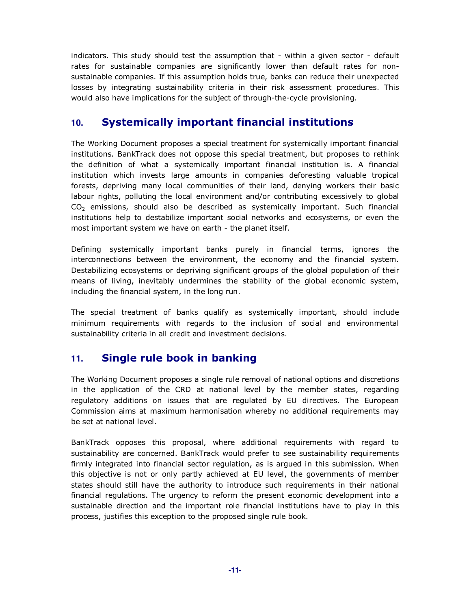indicators. This study should test the assumption that - within a given sector - default rates for sustainable companies are significantly lower than default rates for nonsustainable companies. If this assumption holds true, banks can reduce their unexpected losses by integrating sustainability criteria in their risk assessment procedures. This would also have implications for the subject of through-the-cycle provisioning.

# **10. Systemically important financial institutions**

The Working Document proposes a special treatment for systemically important financial institutions. BankTrack does not oppose this special treatment, but proposes to rethink the definition of what a systemically important financial institution is. A financial institution which invests large amounts in companies deforesting valuable tropical forests, depriving many local communities of their land, denying workers their basic labour rights, polluting the local environment and/or contributing excessively to global  $CO<sub>2</sub>$  emissions, should also be described as systemically important. Such financial institutions help to destabilize important social networks and ecosystems, or even the most important system we have on earth - the planet itself.

Defining systemically important banks purely in financial terms, ignores the interconnections between the environment, the economy and the financial system. Destabilizing ecosystems or depriving significant groups of the global population of their means of living, inevitably undermines the stability of the global economic system, including the financial system, in the long run.

The special treatment of banks qualify as systemically important, should include minimum requirements with regards to the inclusion of social and environmental sustainability criteria in all credit and investment decisions.

## **11. Single rule book in banking**

The Working Document proposes a single rule removal of national options and discretions in the application of the CRD at national level by the member states, regarding regulatory additions on issues that are regulated by EU directives. The European Commission aims at maximum harmonisation whereby no additional requirements may be set at national level.

BankTrack opposes this proposal, where additional requirements with regard to sustainability are concerned. BankTrack would prefer to see sustainability requirements firmly integrated into financial sector regulation, as is argued in this submission. When this objective is not or only partly achieved at EU level, the governments of member states should still have the authority to introduce such requirements in their national financial regulations. The urgency to reform the present economic development into a sustainable direction and the important role financial institutions have to play in this process, justifies this exception to the proposed single rule book.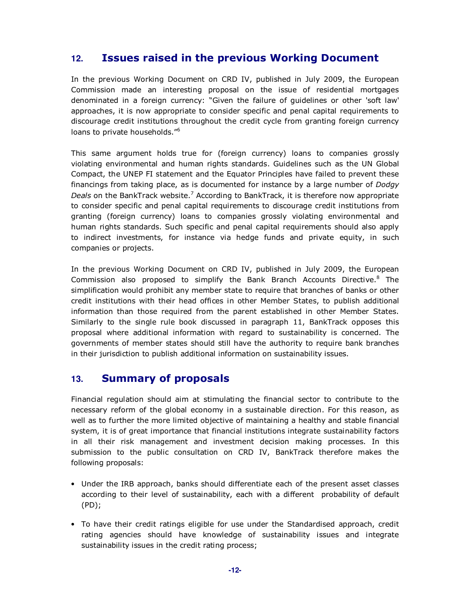# **12. Issues raised in the previous Working Document**

In the previous Working Document on CRD IV, published in July 2009, the European Commission made an interesting proposal on the issue of residential mortgages denominated in a foreign currency: "Given the failure of guidelines or other 'soft law' approaches, it is now appropriate to consider specific and penal capital requirements to discourage credit institutions throughout the credit cycle from granting foreign currency loans to private households."<sup>6</sup>

This same argument holds true for (foreign currency) loans to companies grossly violating environmental and human rights standards. Guidelines such as the UN Global Compact, the UNEP FI statement and the Equator Principles have failed to prevent these financings from taking place, as is documented for instance by a large number of *Dodgy*  Deals on the BankTrack website.<sup>7</sup> According to BankTrack, it is therefore now appropriate to consider specific and penal capital requirements to discourage credit institutions from granting (foreign currency) loans to companies grossly violating environmental and human rights standards. Such specific and penal capital requirements should also apply to indirect investments, for instance via hedge funds and private equity, in such companies or projects.

In the previous Working Document on CRD IV, published in July 2009, the European Commission also proposed to simplify the Bank Branch Accounts Directive.<sup>8</sup> The simplification would prohibit any member state to require that branches of banks or other credit institutions with their head offices in other Member States, to publish additional information than those required from the parent established in other Member States. Similarly to the single rule book discussed in paragraph 11, BankTrack opposes this proposal where additional information with regard to sustainability is concerned. The governments of member states should still have the authority to require bank branches in their jurisdiction to publish additional information on sustainability issues.

## **13. Summary of proposals**

Financial regulation should aim at stimulating the financial sector to contribute to the necessary reform of the global economy in a sustainable direction. For this reason, as well as to further the more limited objective of maintaining a healthy and stable financial system, it is of great importance that financial institutions integrate sustainability factors in all their risk management and investment decision making processes. In this submission to the public consultation on CRD IV, BankTrack therefore makes the following proposals:

- Under the IRB approach, banks should differentiate each of the present asset classes according to their level of sustainability, each with a different probability of default (PD);
- To have their credit ratings eligible for use under the Standardised approach, credit rating agencies should have knowledge of sustainability issues and integrate sustainability issues in the credit rating process;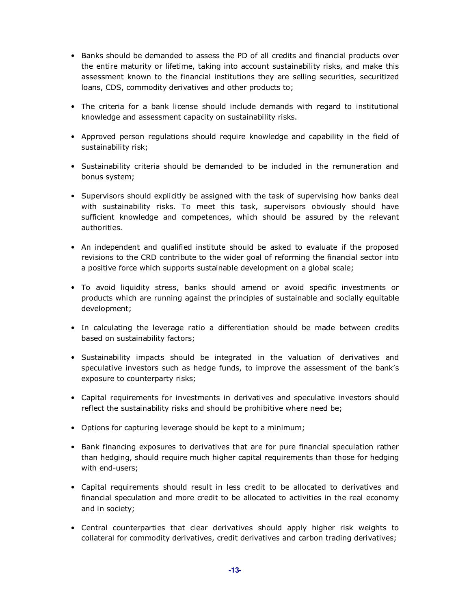- Banks should be demanded to assess the PD of all credits and financial products over the entire maturity or lifetime, taking into account sustainability risks, and make this assessment known to the financial institutions they are selling securities, securitized loans, CDS, commodity derivatives and other products to;
- The criteria for a bank license should include demands with regard to institutional knowledge and assessment capacity on sustainability risks.
- Approved person regulations should require knowledge and capability in the field of sustainability risk;
- Sustainability criteria should be demanded to be included in the remuneration and bonus system;
- Supervisors should explicitly be assigned with the task of supervising how banks deal with sustainability risks. To meet this task, supervisors obviously should have sufficient knowledge and competences, which should be assured by the relevant authorities.
- An independent and qualified institute should be asked to evaluate if the proposed revisions to the CRD contribute to the wider goal of reforming the financial sector into a positive force which supports sustainable development on a global scale;
- To avoid liquidity stress, banks should amend or avoid specific investments or products which are running against the principles of sustainable and socially equitable development;
- In calculating the leverage ratio a differentiation should be made between credits based on sustainability factors;
- Sustainability impacts should be integrated in the valuation of derivatives and speculative investors such as hedge funds, to improve the assessment of the bank's exposure to counterparty risks;
- Capital requirements for investments in derivatives and speculative investors should reflect the sustainability risks and should be prohibitive where need be;
- Options for capturing leverage should be kept to a minimum;
- Bank financing exposures to derivatives that are for pure financial speculation rather than hedging, should require much higher capital requirements than those for hedging with end-users;
- Capital requirements should result in less credit to be allocated to derivatives and financial speculation and more credit to be allocated to activities in the real economy and in society;
- Central counterparties that clear derivatives should apply higher risk weights to collateral for commodity derivatives, credit derivatives and carbon trading derivatives;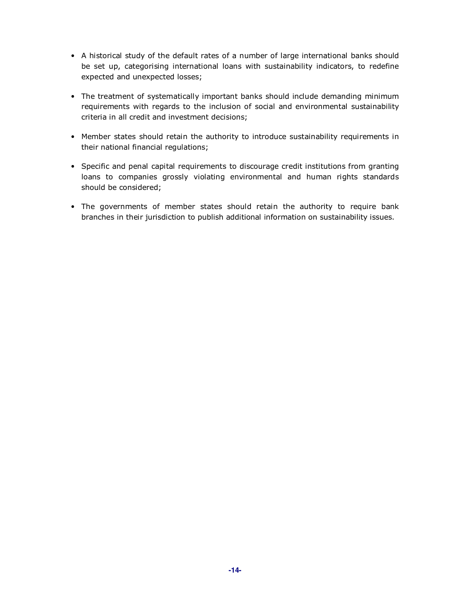- A historical study of the default rates of a number of large international banks should be set up, categorising international loans with sustainability indicators, to redefine expected and unexpected losses;
- The treatment of systematically important banks should include demanding minimum requirements with regards to the inclusion of social and environmental sustainability criteria in all credit and investment decisions;
- Member states should retain the authority to introduce sustainability requirements in their national financial regulations;
- Specific and penal capital requirements to discourage credit institutions from granting loans to companies grossly violating environmental and human rights standards should be considered;
- The governments of member states should retain the authority to require bank branches in their jurisdiction to publish additional information on sustainability issues.